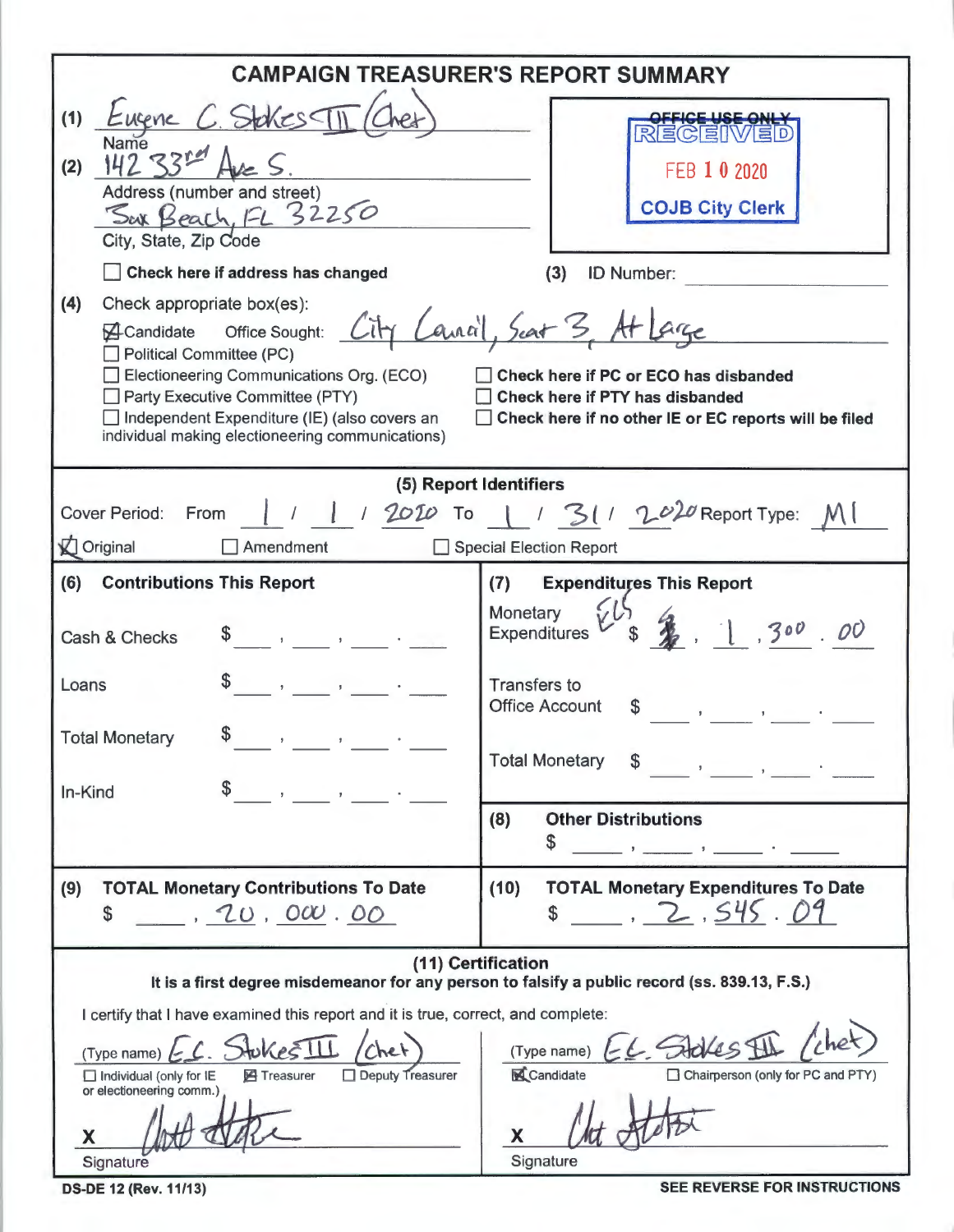|                                                                                                                                                                                                                                                                                                                                                                                                                                                           | <b>CAMPAIGN TREASURER'S REPORT SUMMARY</b>                                                                                                                                                          |  |  |  |  |
|-----------------------------------------------------------------------------------------------------------------------------------------------------------------------------------------------------------------------------------------------------------------------------------------------------------------------------------------------------------------------------------------------------------------------------------------------------------|-----------------------------------------------------------------------------------------------------------------------------------------------------------------------------------------------------|--|--|--|--|
| Scheschi<br>(1)<br>-ucene<br>Name<br>ママン<br>(2)<br>Address (number and street)<br>Sax Beach, FL 32250<br>City, State, Zip Code<br>Check here if address has changed                                                                                                                                                                                                                                                                                       | REGEIW<br>FEB 1 0 2020<br><b>COJB City Clerk</b><br><b>ID Number:</b><br>(3)                                                                                                                        |  |  |  |  |
| (4)<br>Check appropriate box(es):<br>Canal, Seat 3, At<br>Office Sought:<br><b>A</b> Candidate<br><b>Political Committee (PC)</b><br>Electioneering Communications Org. (ECO)<br>Check here if PC or ECO has disbanded<br>Party Executive Committee (PTY)<br>Check here if PTY has disbanded<br>Independent Expenditure (IE) (also covers an<br>Check here if no other IE or EC reports will be filed<br>individual making electioneering communications) |                                                                                                                                                                                                     |  |  |  |  |
| (5) Report Identifiers                                                                                                                                                                                                                                                                                                                                                                                                                                    |                                                                                                                                                                                                     |  |  |  |  |
| Cover Period:<br>From                                                                                                                                                                                                                                                                                                                                                                                                                                     | $1/2010$ To $1/31/2020$ Report Type:                                                                                                                                                                |  |  |  |  |
| <b>Original</b><br>$\Box$ Amendment                                                                                                                                                                                                                                                                                                                                                                                                                       | Special Election Report                                                                                                                                                                             |  |  |  |  |
| (6)<br><b>Contributions This Report</b><br>Cash & Checks                                                                                                                                                                                                                                                                                                                                                                                                  | <b>Expenditures This Report</b><br>(7)<br>Monetary<br>, 300, 00<br><b>Expenditures</b>                                                                                                              |  |  |  |  |
| Loans                                                                                                                                                                                                                                                                                                                                                                                                                                                     | <b>Transfers to</b><br><b>Office Account</b>                                                                                                                                                        |  |  |  |  |
| <b>Total Monetary</b><br>$\mathfrak{F}$<br>In-Kind<br>$\mathbf{F}^{(1)}$ and $\mathbf{F}^{(2)}$ and $\mathbf{F}^{(3)}$                                                                                                                                                                                                                                                                                                                                    | <b>Total Monetary</b>                                                                                                                                                                               |  |  |  |  |
|                                                                                                                                                                                                                                                                                                                                                                                                                                                           | (8)<br><b>Other Distributions</b><br>\$<br><u> 2008 - Samuel Alexandria</u>                                                                                                                         |  |  |  |  |
| (9)<br><b>TOTAL Monetary Contributions To Date</b><br>(10)<br><b>TOTAL Monetary Expenditures To Date</b><br>$$-.2.545.09$<br>10,000.00<br>\$                                                                                                                                                                                                                                                                                                              |                                                                                                                                                                                                     |  |  |  |  |
| I certify that I have examined this report and it is true, correct, and complete:<br>$Jwke\leq 11$<br>(Type name)<br>Deputy Treasurer<br><b>图 Treasurer</b><br>$\Box$ Individual (only for IE<br>or electioneering comm.)                                                                                                                                                                                                                                 | (11) Certification<br>It is a first degree misdemeanor for any person to falsify a public record (ss. 839.13, F.S.)<br>EL Stokes I<br>(Type name)<br>Candidate<br>Chairperson (only for PC and PTY) |  |  |  |  |
| Signature                                                                                                                                                                                                                                                                                                                                                                                                                                                 | Signature                                                                                                                                                                                           |  |  |  |  |

**DS-DE 12 (Rev. 11/13)** 

SEE REVERSE FOR INSTRUCTIONS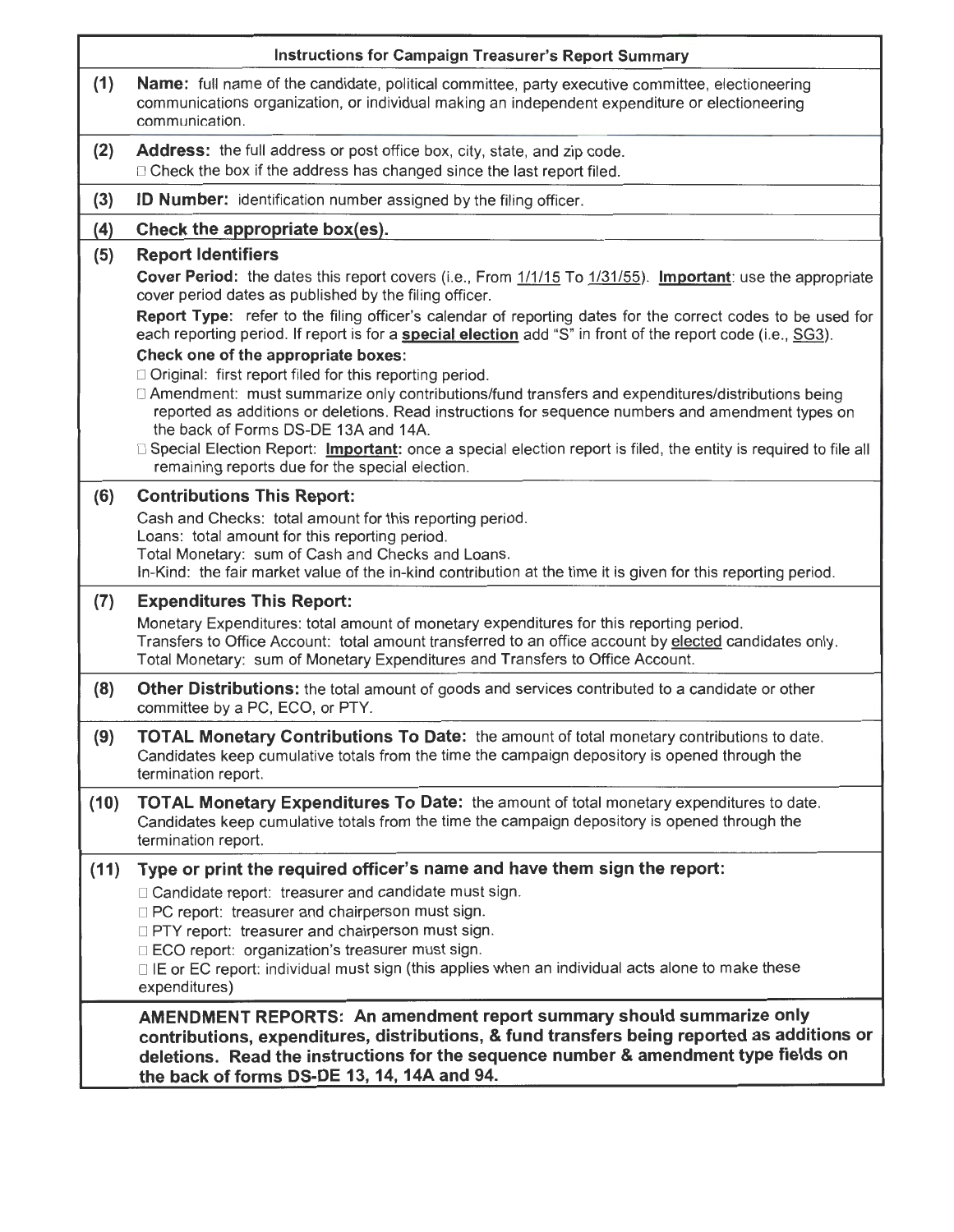|      | <b>Instructions for Campaign Treasurer's Report Summary</b>                                                                                                                                                                                                                                               |  |  |  |  |
|------|-----------------------------------------------------------------------------------------------------------------------------------------------------------------------------------------------------------------------------------------------------------------------------------------------------------|--|--|--|--|
| (1)  | Name: full name of the candidate, political committee, party executive committee, electioneering<br>communications organization, or individual making an independent expenditure or electioneering<br>communication.                                                                                      |  |  |  |  |
| (2)  | Address: the full address or post office box, city, state, and zip code.<br>□ Check the box if the address has changed since the last report filed.                                                                                                                                                       |  |  |  |  |
| (3)  | <b>ID Number:</b> identification number assigned by the filing officer.                                                                                                                                                                                                                                   |  |  |  |  |
| (4)  | Check the appropriate box(es).                                                                                                                                                                                                                                                                            |  |  |  |  |
| (5)  | <b>Report Identifiers</b>                                                                                                                                                                                                                                                                                 |  |  |  |  |
|      | Cover Period: the dates this report covers (i.e., From 1/1/15 To 1/31/55). Important: use the appropriate<br>cover period dates as published by the filing officer.                                                                                                                                       |  |  |  |  |
|      | Report Type: refer to the filing officer's calendar of reporting dates for the correct codes to be used for<br>each reporting period. If report is for a <b>special election</b> add "S" in front of the report code (i.e., SG3).                                                                         |  |  |  |  |
|      | Check one of the appropriate boxes:<br>$\Box$ Original: first report filed for this reporting period.                                                                                                                                                                                                     |  |  |  |  |
|      | □ Amendment: must summarize only contributions/fund transfers and expenditures/distributions being<br>reported as additions or deletions. Read instructions for sequence numbers and amendment types on<br>the back of Forms DS-DE 13A and 14A.                                                           |  |  |  |  |
|      | □ Special Election Report: Important: once a special election report is filed, the entity is required to file all<br>remaining reports due for the special election.                                                                                                                                      |  |  |  |  |
| (6)  | <b>Contributions This Report:</b>                                                                                                                                                                                                                                                                         |  |  |  |  |
|      | Cash and Checks: total amount for this reporting period.<br>Loans: total amount for this reporting period.<br>Total Monetary: sum of Cash and Checks and Loans.<br>In-Kind: the fair market value of the in-kind contribution at the time it is given for this reporting period.                          |  |  |  |  |
| (7)  | <b>Expenditures This Report:</b>                                                                                                                                                                                                                                                                          |  |  |  |  |
|      | Monetary Expenditures: total amount of monetary expenditures for this reporting period.<br>Transfers to Office Account: total amount transferred to an office account by elected candidates only.<br>Total Monetary: sum of Monetary Expenditures and Transfers to Office Account.                        |  |  |  |  |
| (8)  | Other Distributions: the total amount of goods and services contributed to a candidate or other<br>committee by a PC, ECO, or PTY.                                                                                                                                                                        |  |  |  |  |
| (9)  | <b>TOTAL Monetary Contributions To Date:</b> the amount of total monetary contributions to date.<br>Candidates keep cumulative totals from the time the campaign depository is opened through the<br>termination report.                                                                                  |  |  |  |  |
| (10) | TOTAL Monetary Expenditures To Date: the amount of total monetary expenditures to date.<br>Candidates keep cumulative totals from the time the campaign depository is opened through the<br>termination report.                                                                                           |  |  |  |  |
| (11) | Type or print the required officer's name and have them sign the report:                                                                                                                                                                                                                                  |  |  |  |  |
|      | $\Box$ Candidate report: treasurer and candidate must sign.<br>DPC report: treasurer and chairperson must sign.<br><b>DPTY</b> report: treasurer and chairperson must sign.<br>□ ECO report: organization's treasurer must sign.                                                                          |  |  |  |  |
|      | □ IE or EC report: individual must sign (this applies when an individual acts alone to make these<br>expenditures)                                                                                                                                                                                        |  |  |  |  |
|      | AMENDMENT REPORTS: An amendment report summary should summarize only<br>contributions, expenditures, distributions, & fund transfers being reported as additions or<br>deletions. Read the instructions for the sequence number & amendment type fields on<br>the back of forms DS-DE 13, 14, 14A and 94. |  |  |  |  |